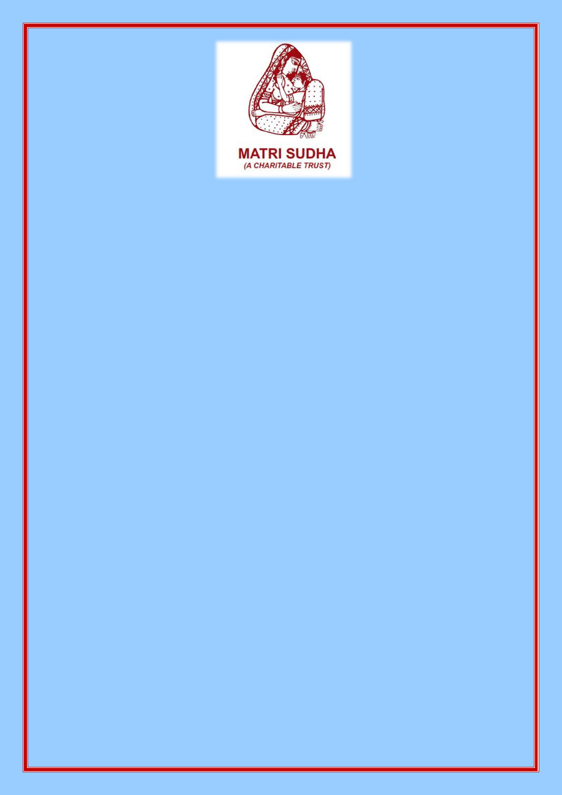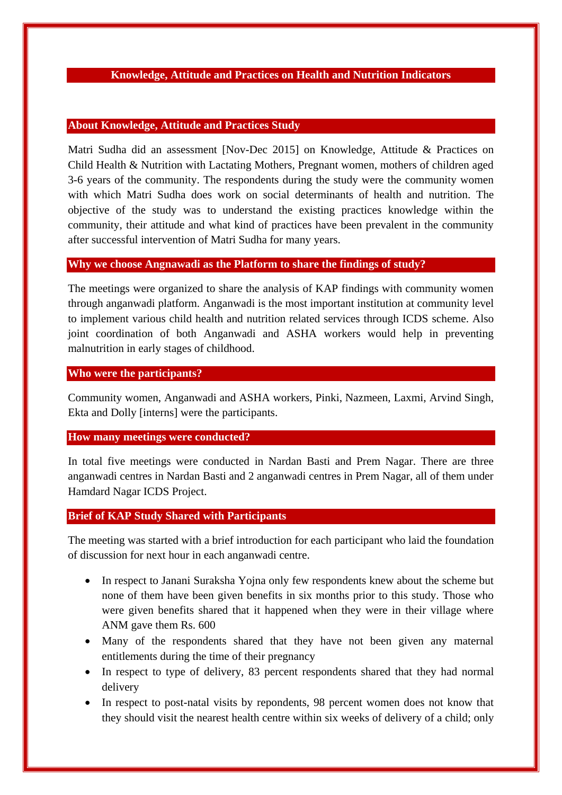## **Knowledge, Attitude and Practices on Health and Nutrition Indicators**

### **About Knowledge, Attitude and Practices Study**

Matri Sudha did an assessment [Nov-Dec 2015] on Knowledge, Attitude & Practices on Child Health & Nutrition with Lactating Mothers, Pregnant women, mothers of children aged 3-6 years of the community. The respondents during the study were the community women with which Matri Sudha does work on social determinants of health and nutrition. The objective of the study was to understand the existing practices knowledge within the community, their attitude and what kind of practices have been prevalent in the community after successful intervention of Matri Sudha for many years.

### **Why we choose Angnawadi as the Platform to share the findings of study?**

The meetings were organized to share the analysis of KAP findings with community women through anganwadi platform. Anganwadi is the most important institution at community level to implement various child health and nutrition related services through ICDS scheme. Also joint coordination of both Anganwadi and ASHA workers would help in preventing malnutrition in early stages of childhood.

### **Who were the participants?**

Community women, Anganwadi and ASHA workers, Pinki, Nazmeen, Laxmi, Arvind Singh, Ekta and Dolly [interns] were the participants.

#### **How many meetings were conducted?**

In total five meetings were conducted in Nardan Basti and Prem Nagar. There are three anganwadi centres in Nardan Basti and 2 anganwadi centres in Prem Nagar, all of them under Hamdard Nagar ICDS Project.

# **Brief of KAP Study Shared with Participants**

The meeting was started with a brief introduction for each participant who laid the foundation of discussion for next hour in each anganwadi centre.

- In respect to Janani Suraksha Yojna only few respondents knew about the scheme but none of them have been given benefits in six months prior to this study. Those who were given benefits shared that it happened when they were in their village where ANM gave them Rs. 600
- Many of the respondents shared that they have not been given any maternal entitlements during the time of their pregnancy
- In respect to type of delivery, 83 percent respondents shared that they had normal delivery
- In respect to post-natal visits by repondents, 98 percent women does not know that they should visit the nearest health centre within six weeks of delivery of a child; only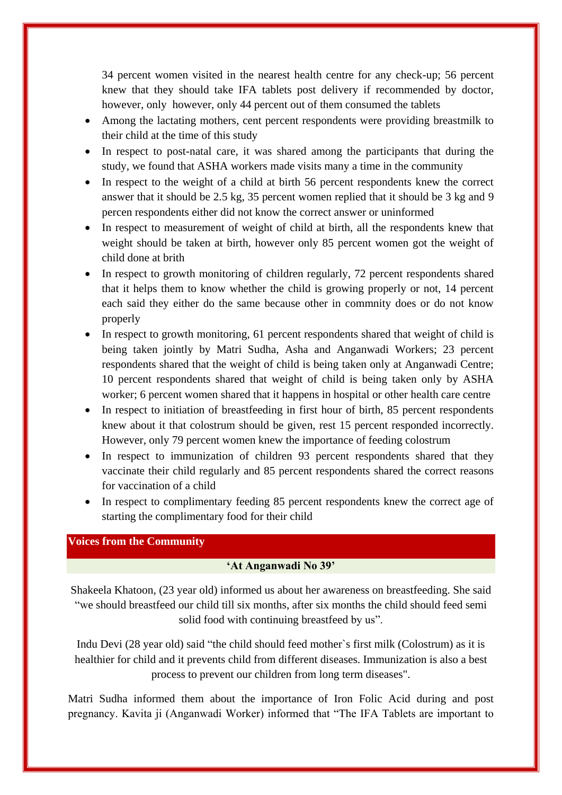34 percent women visited in the nearest health centre for any check-up; 56 percent knew that they should take IFA tablets post delivery if recommended by doctor, however, only however, only 44 percent out of them consumed the tablets

- Among the lactating mothers, cent percent respondents were providing breastmilk to their child at the time of this study
- In respect to post-natal care, it was shared among the participants that during the study, we found that ASHA workers made visits many a time in the community
- In respect to the weight of a child at birth 56 percent respondents knew the correct answer that it should be 2.5 kg, 35 percent women replied that it should be 3 kg and 9 percen respondents either did not know the correct answer or uninformed
- In respect to measurement of weight of child at birth, all the respondents knew that weight should be taken at birth, however only 85 percent women got the weight of child done at brith
- In respect to growth monitoring of children regularly, 72 percent respondents shared that it helps them to know whether the child is growing properly or not, 14 percent each said they either do the same because other in commnity does or do not know properly
- In respect to growth monitoring, 61 percent respondents shared that weight of child is being taken jointly by Matri Sudha, Asha and Anganwadi Workers; 23 percent respondents shared that the weight of child is being taken only at Anganwadi Centre; 10 percent respondents shared that weight of child is being taken only by ASHA worker; 6 percent women shared that it happens in hospital or other health care centre
- In respect to initiation of breastfeeding in first hour of birth, 85 percent respondents knew about it that colostrum should be given, rest 15 percent responded incorrectly. However, only 79 percent women knew the importance of feeding colostrum
- In respect to immunization of children 93 percent respondents shared that they vaccinate their child regularly and 85 percent respondents shared the correct reasons for vaccination of a child
- In respect to complimentary feeding 85 percent respondents knew the correct age of starting the complimentary food for their child

# **Voices from the Community**

# **'At Anganwadi No 39'**

Shakeela Khatoon, (23 year old) informed us about her awareness on breastfeeding. She said "we should breastfeed our child till six months, after six months the child should feed semi solid food with continuing breastfeed by us".

Indu Devi (28 year old) said "the child should feed mother`s first milk (Colostrum) as it is healthier for child and it prevents child from different diseases. Immunization is also a best process to prevent our children from long term diseases".

Matri Sudha informed them about the importance of Iron Folic Acid during and post pregnancy. Kavita ji (Anganwadi Worker) informed that "The IFA Tablets are important to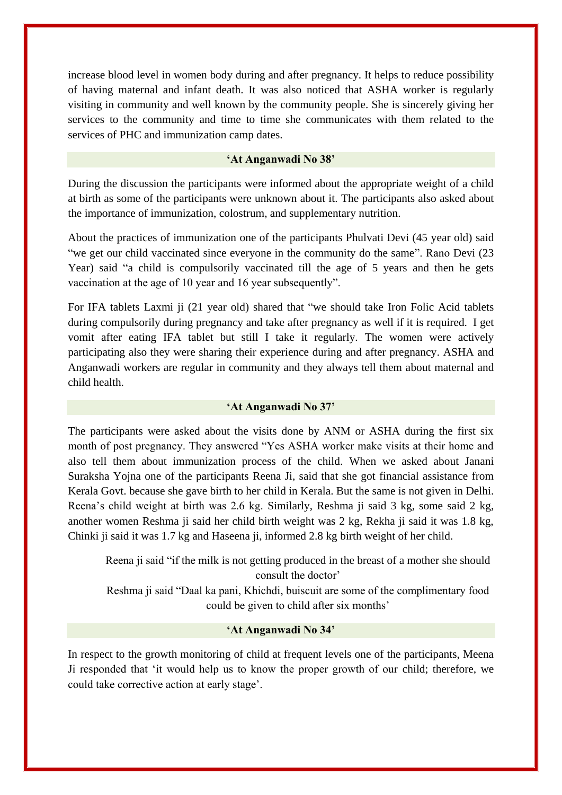increase blood level in women body during and after pregnancy. It helps to reduce possibility of having maternal and infant death. It was also noticed that ASHA worker is regularly visiting in community and well known by the community people. She is sincerely giving her services to the community and time to time she communicates with them related to the services of PHC and immunization camp dates.

### **'At Anganwadi No 38'**

During the discussion the participants were informed about the appropriate weight of a child at birth as some of the participants were unknown about it. The participants also asked about the importance of immunization, colostrum, and supplementary nutrition.

About the practices of immunization one of the participants Phulvati Devi (45 year old) said "we get our child vaccinated since everyone in the community do the same". Rano Devi (23) Year) said "a child is compulsorily vaccinated till the age of 5 years and then he gets vaccination at the age of 10 year and 16 year subsequently".

For IFA tablets Laxmi ji (21 year old) shared that "we should take Iron Folic Acid tablets during compulsorily during pregnancy and take after pregnancy as well if it is required. I get vomit after eating IFA tablet but still I take it regularly. The women were actively participating also they were sharing their experience during and after pregnancy. ASHA and Anganwadi workers are regular in community and they always tell them about maternal and child health.

#### **'At Anganwadi No 37'**

The participants were asked about the visits done by ANM or ASHA during the first six month of post pregnancy. They answered "Yes ASHA worker make visits at their home and also tell them about immunization process of the child. When we asked about Janani Suraksha Yojna one of the participants Reena Ji, said that she got financial assistance from Kerala Govt. because she gave birth to her child in Kerala. But the same is not given in Delhi. Reena"s child weight at birth was 2.6 kg. Similarly, Reshma ji said 3 kg, some said 2 kg, another women Reshma ji said her child birth weight was 2 kg, Rekha ji said it was 1.8 kg, Chinki ji said it was 1.7 kg and Haseena ji, informed 2.8 kg birth weight of her child.

Reena ji said "if the milk is not getting produced in the breast of a mother she should consult the doctor'

Reshma ji said "Daal ka pani, Khichdi, buiscuit are some of the complimentary food could be given to child after six months'

#### **'At Anganwadi No 34'**

In respect to the growth monitoring of child at frequent levels one of the participants, Meena Ji responded that "it would help us to know the proper growth of our child; therefore, we could take corrective action at early stage".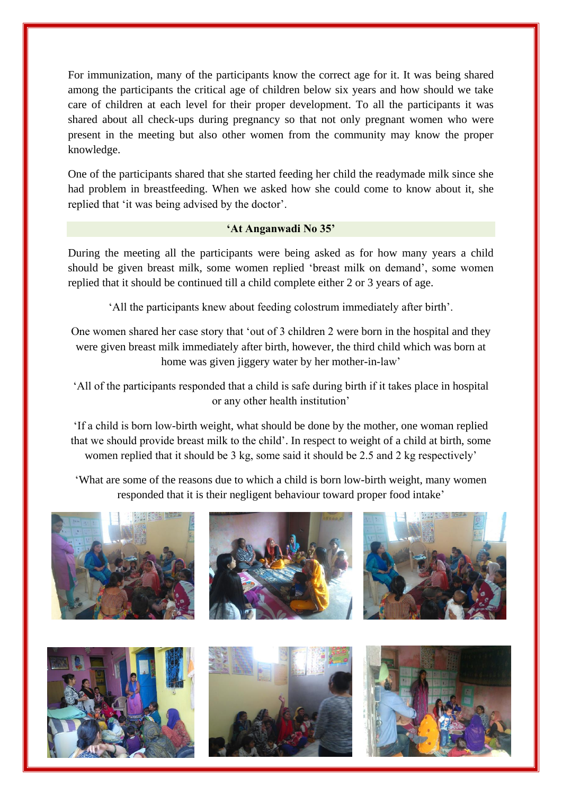For immunization, many of the participants know the correct age for it. It was being shared among the participants the critical age of children below six years and how should we take care of children at each level for their proper development. To all the participants it was shared about all check-ups during pregnancy so that not only pregnant women who were present in the meeting but also other women from the community may know the proper knowledge.

One of the participants shared that she started feeding her child the readymade milk since she had problem in breastfeeding. When we asked how she could come to know about it, she replied that 'it was being advised by the doctor'.

## **'At Anganwadi No 35'**

During the meeting all the participants were being asked as for how many years a child should be given breast milk, some women replied "breast milk on demand", some women replied that it should be continued till a child complete either 2 or 3 years of age.

"All the participants knew about feeding colostrum immediately after birth".

One women shared her case story that "out of 3 children 2 were born in the hospital and they were given breast milk immediately after birth, however, the third child which was born at home was given jiggery water by her mother-in-law'

"All of the participants responded that a child is safe during birth if it takes place in hospital or any other health institution"

"If a child is born low-birth weight, what should be done by the mother, one woman replied that we should provide breast milk to the child". In respect to weight of a child at birth, some women replied that it should be 3 kg, some said it should be 2.5 and 2 kg respectively'

"What are some of the reasons due to which a child is born low-birth weight, many women responded that it is their negligent behaviour toward proper food intake"